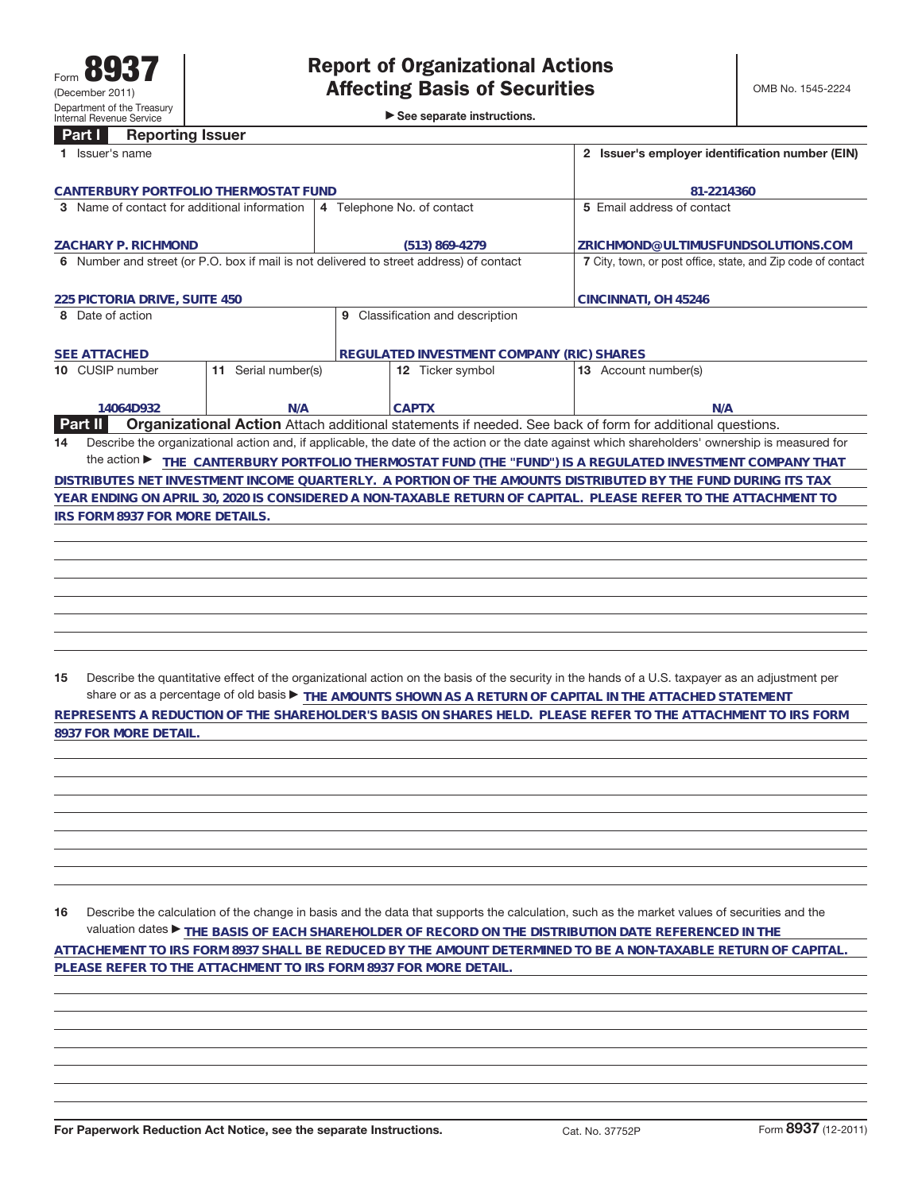**8937 FOR MORE DETAIL.**

►<br>► See separate instructions.

## **Part I Reporting Issuer**

| 1 Issuer's name                                                                                                     | 2 Issuer's employer identification number (EIN)  |                                                                                                                                                 |  |  |  |  |  |
|---------------------------------------------------------------------------------------------------------------------|--------------------------------------------------|-------------------------------------------------------------------------------------------------------------------------------------------------|--|--|--|--|--|
| CANTERBURY PORTFOLIO THERMOSTAT FUND                                                                                | 81-2214360                                       |                                                                                                                                                 |  |  |  |  |  |
| 3 Name of contact for additional information                                                                        | 4 Telephone No. of contact                       | 5 Email address of contact                                                                                                                      |  |  |  |  |  |
|                                                                                                                     |                                                  |                                                                                                                                                 |  |  |  |  |  |
| <b>ZACHARY P. RICHMOND</b>                                                                                          | (513) 869-4279                                   | ZRICHMOND@ULTIMUSFUNDSOLUTIONS.COM                                                                                                              |  |  |  |  |  |
| 6 Number and street (or P.O. box if mail is not delivered to street address) of contact                             |                                                  | 7 City, town, or post office, state, and Zip code of contact                                                                                    |  |  |  |  |  |
|                                                                                                                     |                                                  |                                                                                                                                                 |  |  |  |  |  |
| 225 PICTORIA DRIVE, SUITE 450                                                                                       |                                                  | CINCINNATI, OH 45246                                                                                                                            |  |  |  |  |  |
| 8 Date of action                                                                                                    | Classification and description<br>9              |                                                                                                                                                 |  |  |  |  |  |
|                                                                                                                     |                                                  |                                                                                                                                                 |  |  |  |  |  |
| <b>SEE ATTACHED</b>                                                                                                 | <b>REGULATED INVESTMENT COMPANY (RIC) SHARES</b> |                                                                                                                                                 |  |  |  |  |  |
| Serial number(s)<br>10 CUSIP number<br>11                                                                           | 12 Ticker symbol                                 | 13 Account number(s)                                                                                                                            |  |  |  |  |  |
|                                                                                                                     |                                                  |                                                                                                                                                 |  |  |  |  |  |
| 14064D932<br>N/A                                                                                                    | <b>CAPTX</b>                                     | N/A                                                                                                                                             |  |  |  |  |  |
| Part II<br>Organizational Action Attach additional statements if needed. See back of form for additional questions. |                                                  |                                                                                                                                                 |  |  |  |  |  |
| 14                                                                                                                  |                                                  | Describe the organizational action and, if applicable, the date of the action or the date against which shareholders' ownership is measured for |  |  |  |  |  |
| the action $\blacktriangleright$                                                                                    |                                                  | THE CANTERBURY PORTFOLIO THERMOSTAT FUND (THE "FUND") IS A REGULATED INVESTMENT COMPANY THAT                                                    |  |  |  |  |  |
| DISTRIBUTES NET INVESTMENT INCOME QUARTERLY. A PORTION OF THE AMOUNTS DISTRIBUTED BY THE FUND DURING ITS TAX        |                                                  |                                                                                                                                                 |  |  |  |  |  |
|                                                                                                                     |                                                  | YEAR ENDING ON APRIL 30, 2020 IS CONSIDERED A NON-TAXABLE RETURN OF CAPITAL. PLEASE REFER TO THE ATTACHMENT TO                                  |  |  |  |  |  |
| IRS FORM 8937 FOR MORE DETAILS.                                                                                     |                                                  |                                                                                                                                                 |  |  |  |  |  |
|                                                                                                                     |                                                  |                                                                                                                                                 |  |  |  |  |  |
|                                                                                                                     |                                                  |                                                                                                                                                 |  |  |  |  |  |
|                                                                                                                     |                                                  |                                                                                                                                                 |  |  |  |  |  |
|                                                                                                                     |                                                  |                                                                                                                                                 |  |  |  |  |  |

**15** Describe the quantitative effect of the organizational action on the basis of the security in the hands of a U.S. taxpayer as an adjustment per share or as a percentage of old basis ▶ THE AMOUNTS SHOWN AS A RETURN OF CAPITAL IN THE ATTACHED STATEMENT **REPRESENTS A REDUCTION OF THE SHAREHOLDER'S BASIS ON SHARES HELD. PLEASE REFER TO THE ATTACHMENT TO IRS FORM**

**16** Describe the calculation of the change in basis and the data that supports the calculation, such as the market values of securities and the valuation dates ▶ THE BASIS OF EACH SHAREHOLDER OF RECORD ON THE DISTRIBUTION DATE REFERENCED IN THE **ATTACHEMENT TO IRS FORM 8937 SHALL BE REDUCED BY THE AMOUNT DETERMINED TO BE A NON-TAXABLE RETURN OF CAPITAL. PLEASE REFER TO THE ATTACHMENT TO IRS FORM 8937 FOR MORE DETAIL.**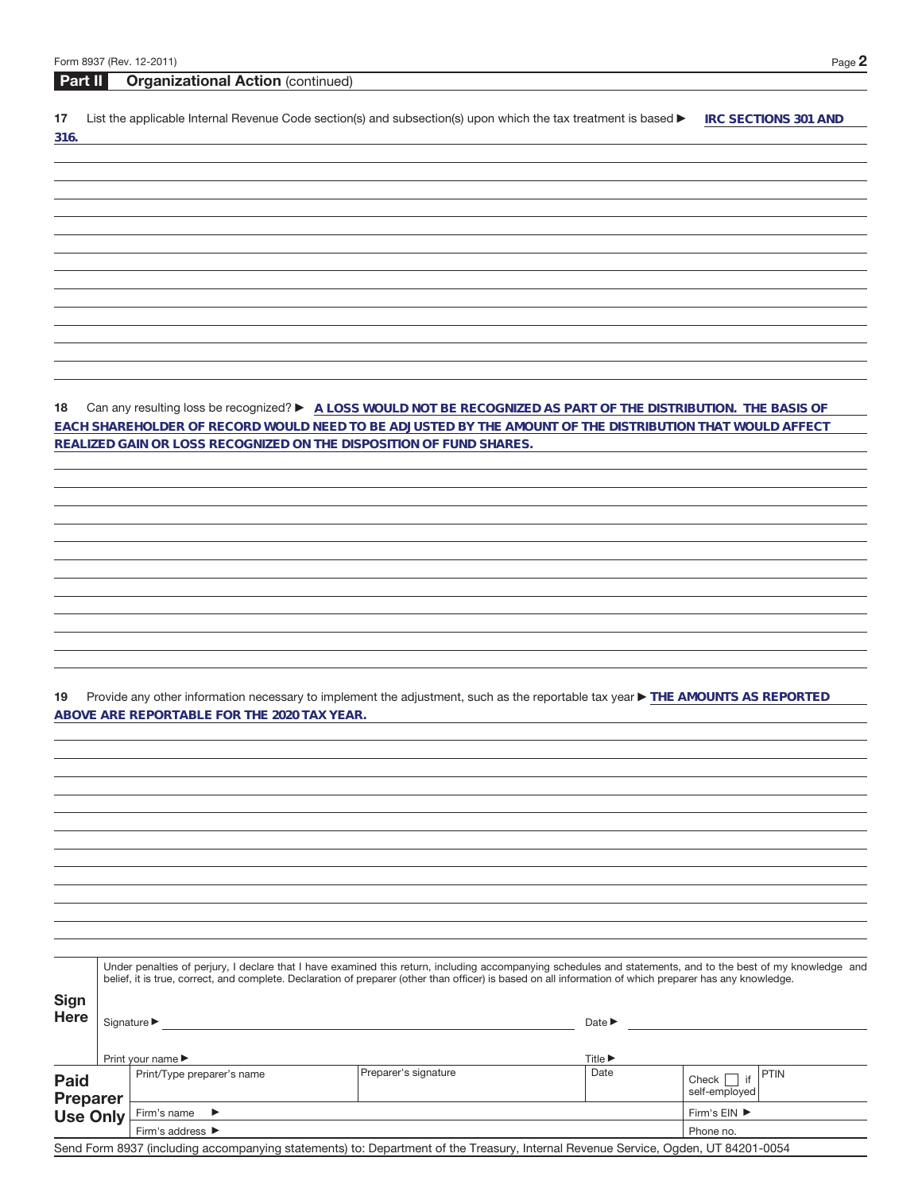| Form 8937 (Rev. 12-2011) |  |  |
|--------------------------|--|--|
|--------------------------|--|--|

|                     | Form 8937 (Rev. 12-2011)                                                                                                                                                                                                     | Page 2                                                                                                                                               |
|---------------------|------------------------------------------------------------------------------------------------------------------------------------------------------------------------------------------------------------------------------|------------------------------------------------------------------------------------------------------------------------------------------------------|
| <b>Part II</b>      | <b>Organizational Action (continued)</b>                                                                                                                                                                                     |                                                                                                                                                      |
| 17<br>316.          | List the applicable Internal Revenue Code section(s) and subsection(s) upon which the tax treatment is based ▶                                                                                                               | <b>IRC SECTIONS 301 AND</b>                                                                                                                          |
|                     |                                                                                                                                                                                                                              |                                                                                                                                                      |
|                     |                                                                                                                                                                                                                              |                                                                                                                                                      |
|                     |                                                                                                                                                                                                                              |                                                                                                                                                      |
|                     |                                                                                                                                                                                                                              |                                                                                                                                                      |
|                     |                                                                                                                                                                                                                              |                                                                                                                                                      |
|                     |                                                                                                                                                                                                                              |                                                                                                                                                      |
|                     |                                                                                                                                                                                                                              |                                                                                                                                                      |
|                     |                                                                                                                                                                                                                              |                                                                                                                                                      |
|                     |                                                                                                                                                                                                                              |                                                                                                                                                      |
| 18                  | Can any resulting loss be recognized? ▶ A LOSS WOULD NOT BE RECOGNIZED AS PART OF THE DISTRIBUTION. THE BASIS OF<br>EACH SHAREHOLDER OF RECORD WOULD NEED TO BE ADJUSTED BY THE AMOUNT OF THE DISTRIBUTION THAT WOULD AFFECT |                                                                                                                                                      |
|                     | REALIZED GAIN OR LOSS RECOGNIZED ON THE DISPOSITION OF FUND SHARES.                                                                                                                                                          |                                                                                                                                                      |
|                     |                                                                                                                                                                                                                              |                                                                                                                                                      |
|                     |                                                                                                                                                                                                                              |                                                                                                                                                      |
|                     |                                                                                                                                                                                                                              |                                                                                                                                                      |
|                     |                                                                                                                                                                                                                              |                                                                                                                                                      |
|                     |                                                                                                                                                                                                                              |                                                                                                                                                      |
|                     |                                                                                                                                                                                                                              |                                                                                                                                                      |
|                     |                                                                                                                                                                                                                              |                                                                                                                                                      |
|                     |                                                                                                                                                                                                                              |                                                                                                                                                      |
| 19                  | Provide any other information necessary to implement the adjustment, such as the reportable tax year ▶ THE AMOUNTS AS REPORTED<br>ABOVE ARE REPORTABLE FOR THE 2020 TAX YEAR.                                                |                                                                                                                                                      |
|                     |                                                                                                                                                                                                                              |                                                                                                                                                      |
|                     |                                                                                                                                                                                                                              |                                                                                                                                                      |
|                     |                                                                                                                                                                                                                              |                                                                                                                                                      |
|                     |                                                                                                                                                                                                                              |                                                                                                                                                      |
|                     |                                                                                                                                                                                                                              |                                                                                                                                                      |
|                     |                                                                                                                                                                                                                              |                                                                                                                                                      |
|                     |                                                                                                                                                                                                                              |                                                                                                                                                      |
|                     |                                                                                                                                                                                                                              |                                                                                                                                                      |
|                     | Under penalties of perjury, I declare that I have examined this return, including accompanying schedules and statements, and to the best of my knowledge and                                                                 |                                                                                                                                                      |
|                     | belief, it is true, correct, and complete. Declaration of preparer (other than officer) is based on all information of which preparer has any knowledge.                                                                     |                                                                                                                                                      |
| Sign<br><b>Here</b> |                                                                                                                                                                                                                              | Date $\blacktriangleright$<br><u> 1989 - Johann Stoff, deutscher Stoffen und der Stoffen und der Stoffen und der Stoffen und der Stoffen und der</u> |
|                     |                                                                                                                                                                                                                              |                                                                                                                                                      |
|                     | Print your name                                                                                                                                                                                                              | Title ▶                                                                                                                                              |

|                                                                                                                                   |  | Title $\blacktriangleright$<br>Print your name $\blacktriangleright$ |                                    |      |                                                          |  |
|-----------------------------------------------------------------------------------------------------------------------------------|--|----------------------------------------------------------------------|------------------------------------|------|----------------------------------------------------------|--|
| <b>Paid</b><br><b>Preparer</b><br>Use Only                                                                                        |  | Print/Type preparer's name                                           | Preparer's signature               | Date | $ $ Check $\Box$ if $ $ <sup>PTIN</sup><br>self-employed |  |
|                                                                                                                                   |  | Firm's name $\blacktriangleright$                                    | Firm's $EIN$ $\blacktriangleright$ |      |                                                          |  |
|                                                                                                                                   |  | Firm's address $\blacktriangleright$                                 | Phone no.                          |      |                                                          |  |
| Send Form 8937 (including accompanying statements) to: Department of the Treasury, Internal Revenue Service, Ogden, UT 84201-0054 |  |                                                                      |                                    |      |                                                          |  |